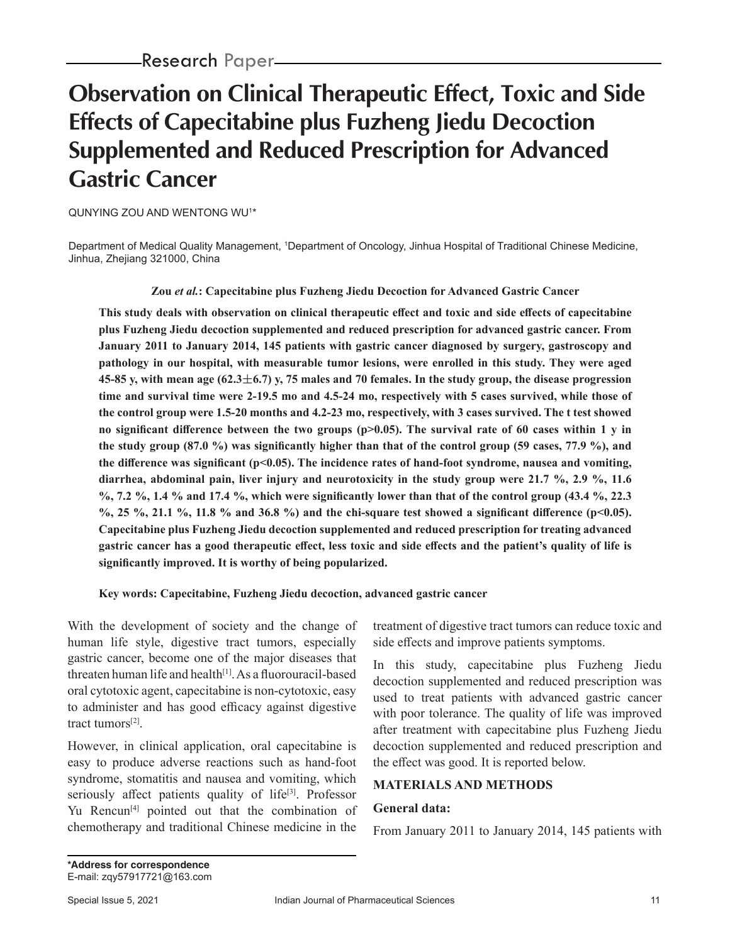# **Observation on Clinical Therapeutic Effect, Toxic and Side Effects of Capecitabine plus Fuzheng Jiedu Decoction Supplemented and Reduced Prescription for Advanced Gastric Cancer**

QUNYING ZOU AND WENTONG WU1 \*

Department of Medical Quality Management, 1 Department of Oncology, Jinhua Hospital of Traditional Chinese Medicine, Jinhua, Zhejiang 321000, China

**Zou** *et al.***: Capecitabine plus Fuzheng Jiedu Decoction for Advanced Gastric Cancer**

**This study deals with observation on clinical therapeutic effect and toxic and side effects of capecitabine plus Fuzheng Jiedu decoction supplemented and reduced prescription for advanced gastric cancer. From January 2011 to January 2014, 145 patients with gastric cancer diagnosed by surgery, gastroscopy and pathology in our hospital, with measurable tumor lesions, were enrolled in this study. They were aged 45-85 y, with mean age (62.36.7) y, 75 males and 70 females. In the study group, the disease progression time and survival time were 2-19.5 mo and 4.5-24 mo, respectively with 5 cases survived, while those of the control group were 1.5-20 months and 4.2-23 mo, respectively, with 3 cases survived. The t test showed**  no significant difference between the two groups (p>0.05). The survival rate of 60 cases within 1 y in **the study group (87.0 %) was significantly higher than that of the control group (59 cases, 77.9 %), and the difference was significant (p<0.05). The incidence rates of hand-foot syndrome, nausea and vomiting, diarrhea, abdominal pain, liver injury and neurotoxicity in the study group were 21.7 %, 2.9 %, 11.6 %, 7.2 %, 1.4 % and 17.4 %, which were significantly lower than that of the control group (43.4 %, 22.3 %, 25 %, 21.1 %, 11.8 % and 36.8 %) and the chi-square test showed a significant difference (p<0.05). Capecitabine plus Fuzheng Jiedu decoction supplemented and reduced prescription for treating advanced gastric cancer has a good therapeutic effect, less toxic and side effects and the patient's quality of life is significantly improved. It is worthy of being popularized.**

**Key words: Capecitabine, Fuzheng Jiedu decoction, advanced gastric cancer**

With the development of society and the change of human life style, digestive tract tumors, especially gastric cancer, become one of the major diseases that threaten human life and health<sup>[1]</sup>. As a fluorouracil-based oral cytotoxic agent, capecitabine is non-cytotoxic, easy to administer and has good efficacy against digestive tract tumors[2].

However, in clinical application, oral capecitabine is easy to produce adverse reactions such as hand-foot syndrome, stomatitis and nausea and vomiting, which seriously affect patients quality of life<sup>[3]</sup>. Professor Yu Rencun<sup>[4]</sup> pointed out that the combination of chemotherapy and traditional Chinese medicine in the treatment of digestive tract tumors can reduce toxic and side effects and improve patients symptoms.

In this study, capecitabine plus Fuzheng Jiedu decoction supplemented and reduced prescription was used to treat patients with advanced gastric cancer with poor tolerance. The quality of life was improved after treatment with capecitabine plus Fuzheng Jiedu decoction supplemented and reduced prescription and the effect was good. It is reported below.

# **MATERIALS AND METHODS**

## **General data:**

From January 2011 to January 2014, 145 patients with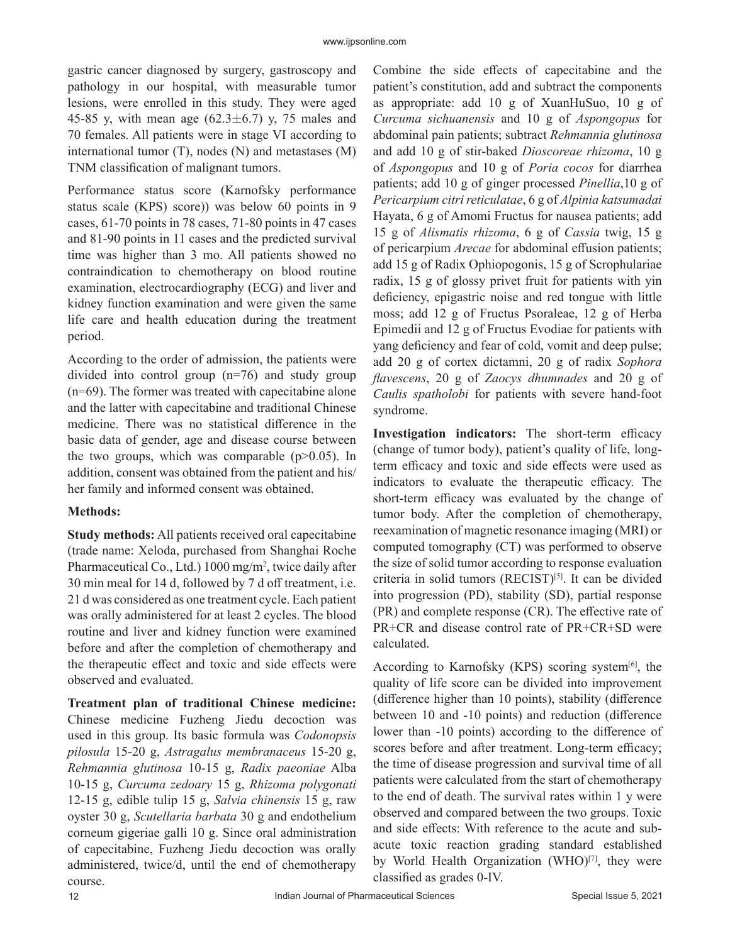gastric cancer diagnosed by surgery, gastroscopy and pathology in our hospital, with measurable tumor lesions, were enrolled in this study. They were aged 45-85 y, with mean age  $(62.3 \pm 6.7)$  y, 75 males and 70 females. All patients were in stage VI according to international tumor (T), nodes (N) and metastases (M) TNM classification of malignant tumors.

Performance status score (Karnofsky performance status scale (KPS) score)) was below 60 points in 9 cases, 61-70 points in 78 cases, 71-80 points in 47 cases and 81-90 points in 11 cases and the predicted survival time was higher than 3 mo. All patients showed no contraindication to chemotherapy on blood routine examination, electrocardiography (ECG) and liver and kidney function examination and were given the same life care and health education during the treatment period.

According to the order of admission, the patients were divided into control group (n=76) and study group (n=69). The former was treated with capecitabine alone and the latter with capecitabine and traditional Chinese medicine. There was no statistical difference in the basic data of gender, age and disease course between the two groups, which was comparable  $(p>0.05)$ . In addition, consent was obtained from the patient and his/ her family and informed consent was obtained.

## **Methods:**

**Study methods:** All patients received oral capecitabine (trade name: Xeloda, purchased from Shanghai Roche Pharmaceutical Co., Ltd.) 1000 mg/m<sup>2</sup>, twice daily after 30 min meal for 14 d, followed by 7 d off treatment, i.e. 21 d was considered as one treatment cycle. Each patient was orally administered for at least 2 cycles. The blood routine and liver and kidney function were examined before and after the completion of chemotherapy and the therapeutic effect and toxic and side effects were observed and evaluated.

**Treatment plan of traditional Chinese medicine:**  Chinese medicine Fuzheng Jiedu decoction was used in this group. Its basic formula was *Codonopsis pilosula* 15-20 g, *Astragalus membranaceus* 15-20 g, *Rehmannia glutinosa* 10-15 g, *Radix paeoniae* Alba 10-15 g, *Curcuma zedoary* 15 g, *Rhizoma polygonati* 12-15 g, edible tulip 15 g, *Salvia chinensis* 15 g, raw oyster 30 g, *Scutellaria barbata* 30 g and endothelium corneum gigeriae galli 10 g. Since oral administration of capecitabine, Fuzheng Jiedu decoction was orally administered, twice/d, until the end of chemotherapy course.

Combine the side effects of capecitabine and the patient's constitution, add and subtract the components as appropriate: add 10 g of XuanHuSuo, 10 g of *Curcuma sichuanensis* and 10 g of *Aspongopus* for abdominal pain patients; subtract *Rehmannia glutinosa* and add 10 g of stir-baked *Dioscoreae rhizoma*, 10 g of *Aspongopus* and 10 g of *Poria cocos* for diarrhea patients; add 10 g of ginger processed *Pinellia*,10 g of *Pericarpium citri reticulatae*, 6 g of *Alpinia katsumadai* Hayata, 6 g of Amomi Fructus for nausea patients; add 15 g of *Alismatis rhizoma*, 6 g of *Cassia* twig, 15 g of pericarpium *Arecae* for abdominal effusion patients; add 15 g of Radix Ophiopogonis, 15 g of Scrophulariae radix, 15 g of glossy privet fruit for patients with yin deficiency, epigastric noise and red tongue with little moss; add 12 g of Fructus Psoraleae, 12 g of Herba Epimedii and 12 g of Fructus Evodiae for patients with yang deficiency and fear of cold, vomit and deep pulse; add 20 g of cortex dictamni, 20 g of radix *Sophora flavescens*, 20 g of *Zaocys dhumnades* and 20 g of *Caulis spatholobi* for patients with severe hand-foot syndrome.

**Investigation indicators:** The short-term efficacy (change of tumor body), patient's quality of life, longterm efficacy and toxic and side effects were used as indicators to evaluate the therapeutic efficacy. The short-term efficacy was evaluated by the change of tumor body. After the completion of chemotherapy, reexamination of magnetic resonance imaging (MRI) or computed tomography (CT) was performed to observe the size of solid tumor according to response evaluation criteria in solid tumors (RECIST)[5]. It can be divided into progression (PD), stability (SD), partial response (PR) and complete response (CR). The effective rate of PR+CR and disease control rate of PR+CR+SD were calculated.

According to Karnofsky (KPS) scoring system $[6]$ , the quality of life score can be divided into improvement (difference higher than 10 points), stability (difference between 10 and -10 points) and reduction (difference lower than -10 points) according to the difference of scores before and after treatment. Long-term efficacy; the time of disease progression and survival time of all patients were calculated from the start of chemotherapy to the end of death. The survival rates within 1 y were observed and compared between the two groups. Toxic and side effects: With reference to the acute and subacute toxic reaction grading standard established by World Health Organization (WHO)<sup>[7]</sup>, they were classified as grades 0-IV.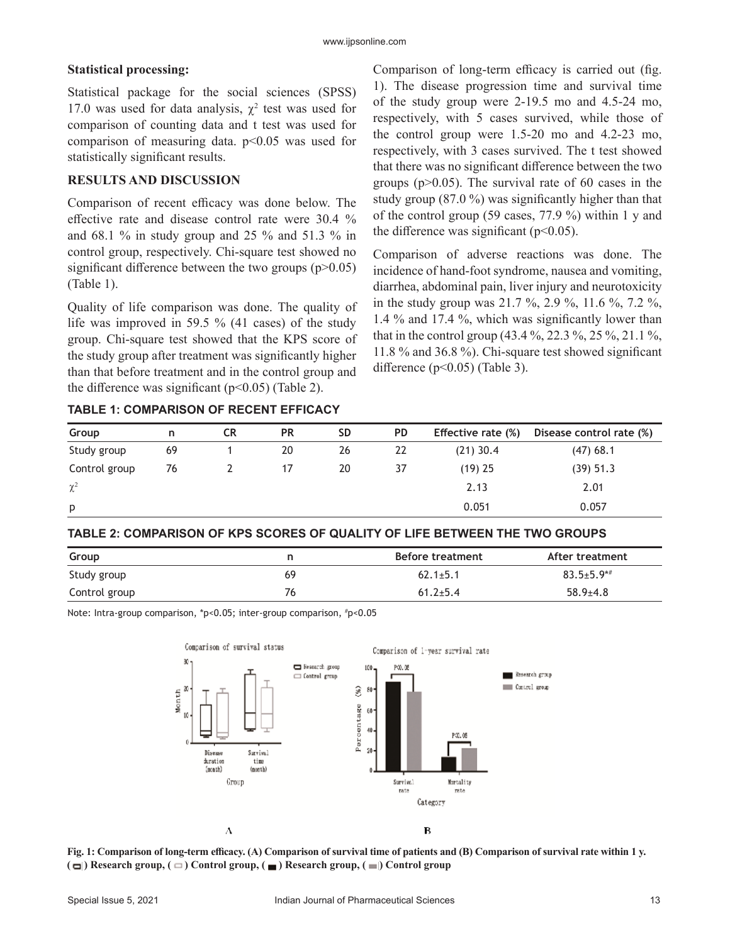#### **Statistical processing:**

Statistical package for the social sciences (SPSS) 17.0 was used for data analysis,  $\chi^2$  test was used for comparison of counting data and t test was used for comparison of measuring data.  $p<0.05$  was used for statistically significant results.

## **RESULTS AND DISCUSSION**

Comparison of recent efficacy was done below. The effective rate and disease control rate were 30.4 % and 68.1 % in study group and 25 % and 51.3 % in control group, respectively. Chi-square test showed no significant difference between the two groups  $(p>0.05)$ (Table 1).

Quality of life comparison was done. The quality of life was improved in 59.5 % (41 cases) of the study group. Chi-square test showed that the KPS score of the study group after treatment was significantly higher than that before treatment and in the control group and the difference was significant ( $p<0.05$ ) (Table 2).

**TABLE 1: COMPARISON OF RECENT EFFICACY**

Comparison of long-term efficacy is carried out (fig. 1). The disease progression time and survival time of the study group were 2-19.5 mo and 4.5-24 mo, respectively, with 5 cases survived, while those of the control group were 1.5-20 mo and 4.2-23 mo, respectively, with 3 cases survived. The t test showed that there was no significant difference between the two groups ( $p > 0.05$ ). The survival rate of 60 cases in the study group (87.0 %) was significantly higher than that of the control group (59 cases, 77.9 %) within 1 y and the difference was significant ( $p<0.05$ ).

Comparison of adverse reactions was done. The incidence of hand-foot syndrome, nausea and vomiting, diarrhea, abdominal pain, liver injury and neurotoxicity in the study group was 21.7 %, 2.9 %, 11.6 %, 7.2 %, 1.4 % and 17.4 %, which was significantly lower than that in the control group (43.4 %, 22.3 %, 25 %, 21.1 %, 11.8 % and 36.8 %). Chi-square test showed significant difference  $(p<0.05)$  (Table 3).

| Group         | n  | <b>CR</b> | <b>PR</b> | <b>SD</b> | <b>PD</b> | <b>Effective rate (%)</b> | Disease control rate (%) |  |
|---------------|----|-----------|-----------|-----------|-----------|---------------------------|--------------------------|--|
| Study group   | 69 |           | 20        | 26        | 22        | $(21)$ 30.4               | $(47)$ 68.1              |  |
| Control group | 76 |           |           | 20        | 37        | $(19)$ 25                 | (39) 51.3                |  |
| $\chi^2$      |    |           |           |           |           | 2.13                      | 2.01                     |  |
| p             |    |           |           |           |           | 0.051                     | 0.057                    |  |

### **TABLE 2: COMPARISON OF KPS SCORES OF QUALITY OF LIFE BETWEEN THE TWO GROUPS**

| Group         |    | Before treatment | After treatment |  |  |
|---------------|----|------------------|-----------------|--|--|
| Study group   | 69 | $62.1 \pm 5.1$   | $83.5 + 5.9**$  |  |  |
| Control group | 76 | $61.2 + 5.4$     | $58.9{\pm}4.8$  |  |  |

Note: Intra-group comparison, \*p<0.05; inter-group comparison, # p<0.05



**Fig. 1: Comparison of long-term efficacy. (A) Comparison of survival time of patients and (B) Comparison of survival rate within 1 y. (** $\Box$ ) Research group,  $(\Box)$  Control group,  $(\Box)$  Research group,  $(\Box)$  Control group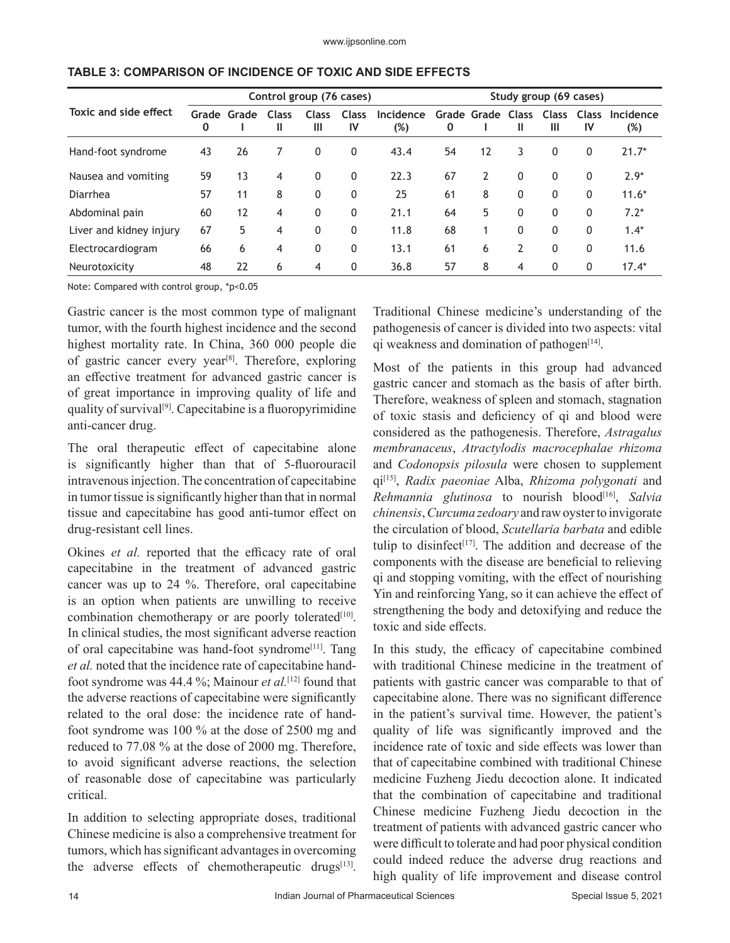|                         | Control group (76 cases) |             |                   |                   |                    |                     | Study group (69 cases) |                               |                |              |              |                  |
|-------------------------|--------------------------|-------------|-------------------|-------------------|--------------------|---------------------|------------------------|-------------------------------|----------------|--------------|--------------|------------------|
| Toxic and side effect   | 0                        | Grade Grade | <b>Class</b><br>Ш | <b>Class</b><br>Ш | <b>Class</b><br>IV | Incidence<br>$(\%)$ | 0                      | Grade Grade Class Class Class | Ш              | Ш            | IV           | Incidence<br>(%) |
| Hand-foot syndrome      | 43                       | 26          | 7                 | $\mathbf{0}$      | 0                  | 43.4                | 54                     | 12                            | 3              | $\mathbf{0}$ | $\Omega$     | $21.7*$          |
| Nausea and vomiting     | 59                       | 13          | 4                 | $\mathbf{0}$      | $\mathbf 0$        | 22.3                | 67                     | $\overline{2}$                | $\mathbf{0}$   | $\mathbf{0}$ | $\Omega$     | $2.9*$           |
| Diarrhea                | 57                       | 11          | 8                 | $\mathbf{0}$      | $\mathbf{0}$       | 25                  | 61                     | 8                             | $\Omega$       | $\mathbf{0}$ | $\mathbf{0}$ | $11.6*$          |
| Abdominal pain          | 60                       | 12          | 4                 | $\mathbf{0}$      | $\mathbf{0}$       | 21.1                | 64                     | 5                             | $\Omega$       | $\mathbf{0}$ | $\mathbf{0}$ | $7.2*$           |
| Liver and kidney injury | 67                       | 5           | 4                 | $\mathbf{0}$      | $\mathbf{0}$       | 11.8                | 68                     | 1                             | $\Omega$       | $\mathbf{0}$ | $\mathbf{0}$ | $1.4*$           |
| Electrocardiogram       | 66                       | 6           | $\overline{4}$    | $\mathbf{0}$      | $\mathbf{0}$       | 13.1                | 61                     | 6                             | $\overline{2}$ | $\mathbf{0}$ | $\mathbf{0}$ | 11.6             |
| Neurotoxicity           | 48                       | 22          | 6                 | 4                 | 0                  | 36.8                | 57                     | 8                             | 4              | $\mathbf{0}$ | $\mathbf{0}$ | $17.4*$          |

#### **TABLE 3: COMPARISON OF INCIDENCE OF TOXIC AND SIDE EFFECTS**

Note: Compared with control group, \*p<0.05

Gastric cancer is the most common type of malignant tumor, with the fourth highest incidence and the second highest mortality rate. In China, 360 000 people die of gastric cancer every year<sup>[8]</sup>. Therefore, exploring an effective treatment for advanced gastric cancer is of great importance in improving quality of life and quality of survival<sup>[9]</sup>. Capecitabine is a fluoropyrimidine anti-cancer drug.

The oral therapeutic effect of capecitabine alone is significantly higher than that of 5-fluorouracil intravenous injection. The concentration of capecitabine in tumor tissue is significantly higher than that in normal tissue and capecitabine has good anti-tumor effect on drug-resistant cell lines.

Okines *et al.* reported that the efficacy rate of oral capecitabine in the treatment of advanced gastric cancer was up to 24 %. Therefore, oral capecitabine is an option when patients are unwilling to receive combination chemotherapy or are poorly tolerated<sup>[10]</sup>. In clinical studies, the most significant adverse reaction of oral capecitabine was hand-foot syndrome<sup>[11]</sup>. Tang *et al.* noted that the incidence rate of capecitabine handfoot syndrome was 44.4 %; Mainour *et al.*[12] found that the adverse reactions of capecitabine were significantly related to the oral dose: the incidence rate of handfoot syndrome was 100 % at the dose of 2500 mg and reduced to 77.08 % at the dose of 2000 mg. Therefore, to avoid significant adverse reactions, the selection of reasonable dose of capecitabine was particularly critical.

In addition to selecting appropriate doses, traditional Chinese medicine is also a comprehensive treatment for tumors, which has significant advantages in overcoming the adverse effects of chemotherapeutic drugs<sup>[13]</sup>.

Traditional Chinese medicine's understanding of the pathogenesis of cancer is divided into two aspects: vital qi weakness and domination of pathogen $[14]$ .

Most of the patients in this group had advanced gastric cancer and stomach as the basis of after birth. Therefore, weakness of spleen and stomach, stagnation of toxic stasis and deficiency of qi and blood were considered as the pathogenesis. Therefore, *Astragalus membranaceus*, *Atractylodis macrocephalae rhizoma* and *Codonopsis pilosula* were chosen to supplement qi[15], *Radix paeoniae* Alba, *Rhizoma polygonati* and *Rehmannia glutinosa* to nourish blood[16], *Salvia chinensis*, *Curcuma zedoary* and raw oyster to invigorate the circulation of blood, *Scutellaria barbata* and edible tulip to disinfect<sup>[17]</sup>. The addition and decrease of the components with the disease are beneficial to relieving qi and stopping vomiting, with the effect of nourishing Yin and reinforcing Yang, so it can achieve the effect of strengthening the body and detoxifying and reduce the toxic and side effects.

In this study, the efficacy of capecitabine combined with traditional Chinese medicine in the treatment of patients with gastric cancer was comparable to that of capecitabine alone. There was no significant difference in the patient's survival time. However, the patient's quality of life was significantly improved and the incidence rate of toxic and side effects was lower than that of capecitabine combined with traditional Chinese medicine Fuzheng Jiedu decoction alone. It indicated that the combination of capecitabine and traditional Chinese medicine Fuzheng Jiedu decoction in the treatment of patients with advanced gastric cancer who were difficult to tolerate and had poor physical condition could indeed reduce the adverse drug reactions and high quality of life improvement and disease control